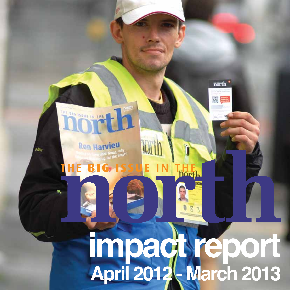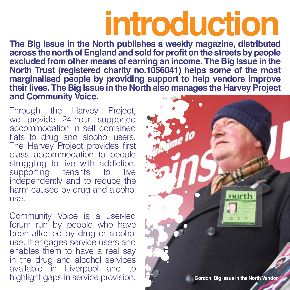# **introduction**

**The Big Issue in the North publishes a weekly magazine, distributed**  across the north of England and sold for profit on the streets by people **excluded from other means of earning an income. The Big Issue in the North Trust (registered charity no.1056041) helps some of the most marginalised people by providing support to help vendors improve their lives. The Big Issue in the North also manages the Harvey Project and Community Voice.**

Through the Harvey Project, we provide 24-hour supported accommodation in self contained flats to drug and alcohol users. The Harvey Project provides first class accommodation to people struggling to live with addiction,<br>supporting tenants to live supporting tenants to independently and to reduce the harm caused by drug and alcohol US<sub>e</sub>

Community Voice is a user-led forum run by people who have been affected by drug or alcohol use. It engages service-users and enables them to have a real say in the drug and alcohol services available in Liverpool and to

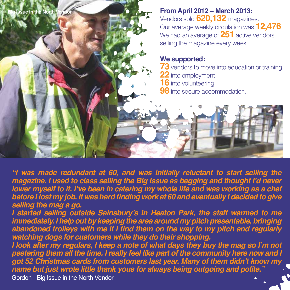

*"I was made redundant at 60, and was initially reluctant to start selling the*  magazine. I used to class selling the Big Issue as begging and thought I'd never lower myself to it. I've been in catering my whole life and was working as a chef **before I lost my job. It was hard finding work at 60 and eventually I decided to give** *selling the mag a go.*

*I* started selling outside Sainsbury's in Heaton Park, the staff warmed to me immediately. I help out by keeping the area around my pitch presentable, bringing abandoned trolleys with me if I find them on the way to my pitch and regularly *watching dogs for customers while they do their shopping.* 

I look after my regulars, I keep a note of what days they buy the mag so I'm not pestering them all the time. I really feel like part of the community here now and I got 52 Christmas cards from customers last year. Many of them didn't know my *name but just wrote little thank yous for always being outgoing and polite."* 

**Gordon, Big Issue in the North Vendor** Gordon - Big Issue in the North Vendor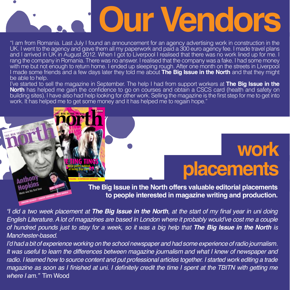# **Our Vendors**

"I am from Romania. Last July I found an announcement for an agency advertising work in construction in the UK. I went to the agency and gave them all my paperwork and paid a 300 euro agency fee. I made travel plans and I arrived in UK in August 2012. When I got to Liverpool I realised that there was no work lined up for me. I rang the company in Romania. There was no answer. I realised that the company was a fake. I had some money with me but not enough to return home. I ended up sleeping rough. After one month on the streets in Liverpool I made some friends and a few days later they told me about **The Big Issue in the North** and that they might be able to help.

I've started to sell the magazine in September. The help I had from support workers at **The Big Issue in the North** has helped me gain the confidence to go on courses and obtain a CSCS card (health and safety on building sites). I have also had help looking for other work. Selling the magazine is the first step for me to get into work. It has helped me to get some money and it has helped me to regain hope."

**PLEASE BUY FROM BADGED VENDORS ONLY**

**WORKING NOT BEGGING** · NO.915 · 20-26 FEBRUARY 2012 • **£2.00**

**B16 ISSN** 

**UNDERCOVER POLICING • US REPUBLICAN CANDIDATES** 

**THE TINGS We're pretty rubbish**<br>at being pop stars **at a track of the position of the pop**<br>at being pop stars,

### **work placements**

**The Big Issue in the North offers valuable editorial placements to people interested in magazine writing and production.**

*"I did a two week placement at The Big Issue in the North, at the start of my final year in uni doing* English Literature. A lot of magazines are based in London where it probably would've cost me a couple *RIKTHE AIKXAGHD Figures of hundred pounds just to stay for a week, so it was a big help that The Big Issue in the North is affered in the North is and the north is and the north is and the north is and the north is and th Manchester-based.* 

*l'd had a bit of experience working on the school newspaper and had some experience of radio journalism.* It was useful to learn the differences between magazine journalism and what I knew of newspaper and radio. I learned how to source content and put professional articles together. I started work editing a trade *Pagazine as soon as I finished at uni. I definitely credit the time I spent at the TBITN with getting me where I am.*" Tim Wood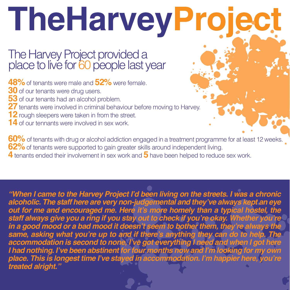# TheHarveyProjec

#### The Harvey Project provided a place to live for 60 people last year

**48%** of tenants were male and **52%** were female.

- **30** of our tenants were drug users.
- **53** of our tenants had an alcohol problem.
- **27** tenants were involved in criminal behaviour before moving to Harvey.
- **12** rough sleepers were taken in from the street.
- **14** of our tennants were involved in sex work

**60%** of tenants with drug or alcohol addiction engaged in a treatment programme for at least 12 weeks. **62%** of tenants were supported to gain greater skills around independent living. **4** tenants ended their involvement in sex work and 5 have been helped to reduce sex work.

"When I came to the Harvey Project I'd been living on the streets. I was a chronic alcoholic. The staff here are very non-judgemental and they've always kept an eye out for me and encouraged me. Here it's more homely than a typical hostel, the staff always give you a ring if you stay out to check if you're okay. Whether you're in a good mood or a bad mood it doesn't seem to bother them, they're always the same, asking what you're up to and if there's anything they can do to help. The accommodation is second to none, I've got everything I need and when I got here *I* had nothing. I've been abstinent for four months now and I'm looking for my own place. This is longest time I've stayed in accommodation. I'm happier here, you're *treated alright.'* 

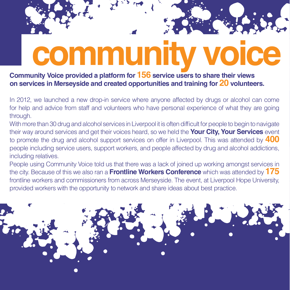# **community**

**Community Voice provided a platform for 156 service users to share their views on services in Merseyside and created opportunities and training for 20 volunteers.**

In 2012, we launched a new drop-in service where anyone affected by drugs or alcohol can come for help and advice from staff and volunteers who have personal experience of what they are going through.

With more than 30 drug and alcohol services in Liverpool it is often difficult for people to begin to navigate their way around services and get their voices heard, so we held the **Your City, Your Services** event to promote the drug and alcohol support services on offer in Liverpool. This was attended by **400** people including service users, support workers, and people affected by drug and alcohol addictions, including relatives.

People using Community Voice told us that there was a lack of joined up working amongst services in the city. Because of this we also ran a **Frontline Workers Conference** which was attended by **175** frontline workers and commissioners from across Merseyside. The event, at Liverpool Hope University. provided workers with the opportunity to network and share ideas about best practice.

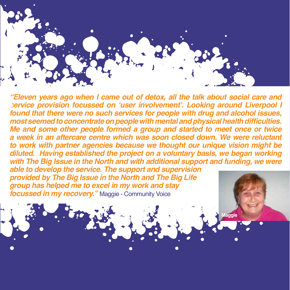

*"Eleven years ago when I came out of detox, all the talk about social care and Vervice provision focussed on 'user involvement'. Looking around Liverpool I <i>I*ound that there were no such services for people with drug and alcohol issues, *PRYIGHBIGHAFFROF MGGS Seemed to concentrate on people with mental and physical health difficulties. Me and some other people formed a group and started to meet once or twice*  a week in an aftercare centre which was soon closed down. We were reluctant *to work with partner agencies because we thought our unique vision might be* diluted. Having established the project on a voluntary basis, we began working with The Big Issue in the North and with additional support and funding, we were

able to develop the service. The support and supervision **provided by The Big Issue in the North and The Big Life** *group has helped me to excel in my work and stay <u>Infinity</u> In my recovery.* "Maggie - Community Voice